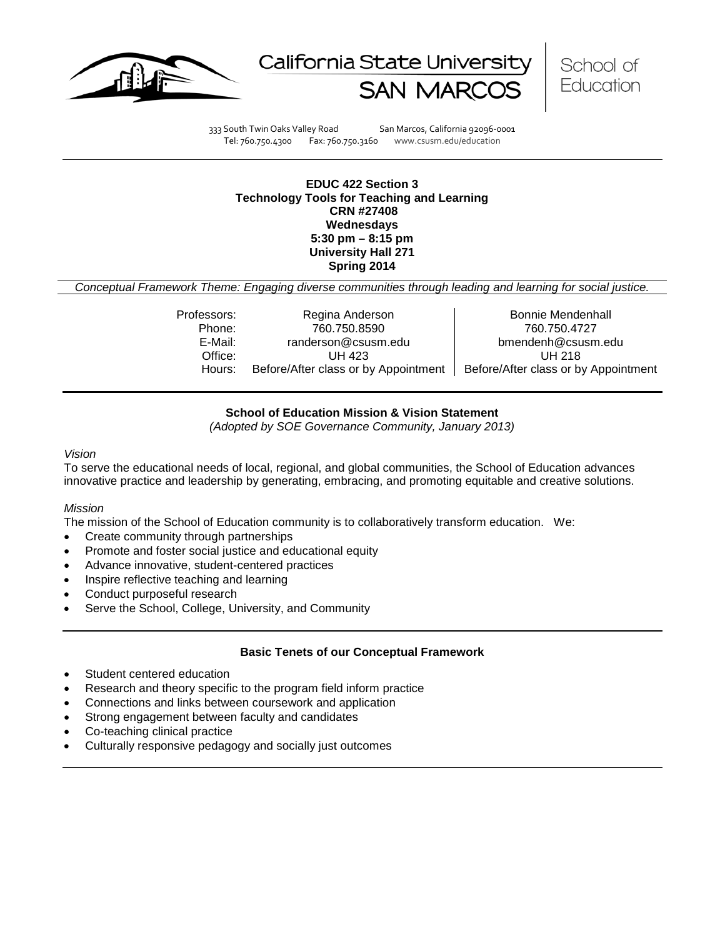





333 South Twin Oaks Valley Road San Marcos, California 92096-0001 Tel: 760.750.4300 Fax: 760.750.3160 www.csusm.edu/education

#### **EDUC 422 Section 3 Technology Tools for Teaching and Learning CRN #27408 Wednesdays 5:30 pm – 8:15 pm University Hall 271 Spring 2014**

*Conceptual Framework Theme: Engaging diverse communities through leading and learning for social justice.*

| Professors: | Regina Anderson                      | Bonnie Mendenhall                    |
|-------------|--------------------------------------|--------------------------------------|
| Phone:      | 760.750.8590                         | 760.750.4727                         |
| E-Mail:     | randerson@csusm.edu                  | bmendenh@csusm.edu                   |
| Office:     | UH 423                               | UH 218                               |
| Hours:      | Before/After class or by Appointment | Before/After class or by Appointment |
|             |                                      |                                      |

#### **School of Education Mission & Vision Statement**

*(Adopted by SOE Governance Community, January 2013)*

#### *Vision*

To serve the educational needs of local, regional, and global communities, the School of Education advances innovative practice and leadership by generating, embracing, and promoting equitable and creative solutions.

#### *Mission*

The mission of the School of Education community is to collaboratively transform education. We:

- Create community through partnerships
- Promote and foster social justice and educational equity
- Advance innovative, student-centered practices
- Inspire reflective teaching and learning
- Conduct purposeful research
- Serve the School, College, University, and Community

#### **Basic Tenets of our Conceptual Framework**

- Student centered education
- Research and theory specific to the program field inform practice
- Connections and links between coursework and application
- Strong engagement between faculty and candidates
- Co-teaching clinical practice
- Culturally responsive pedagogy and socially just outcomes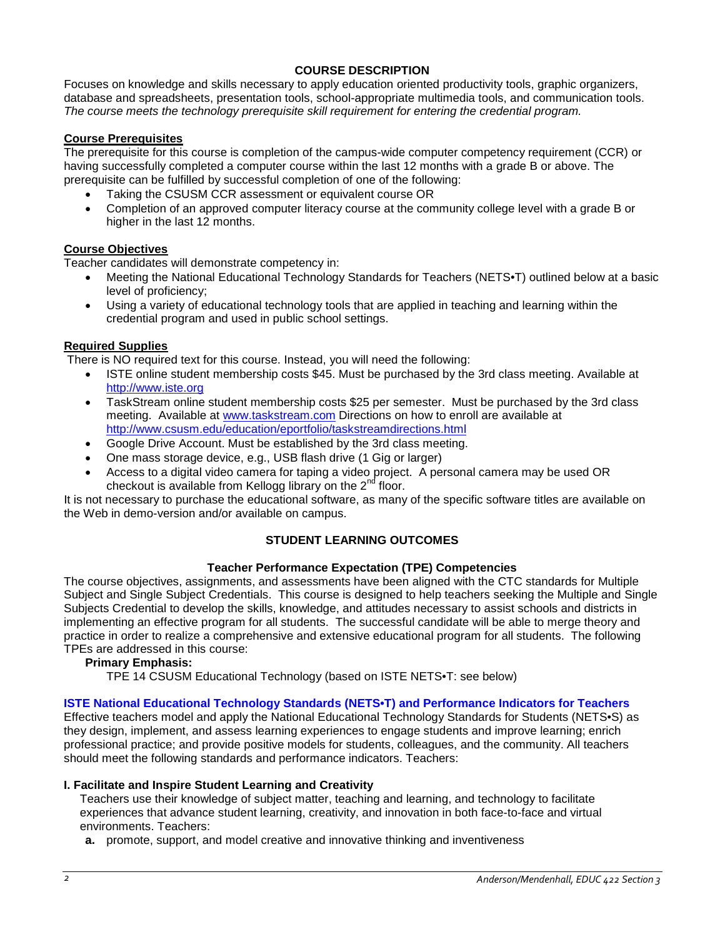## **COURSE DESCRIPTION**

Focuses on knowledge and skills necessary to apply education oriented productivity tools, graphic organizers, database and spreadsheets, presentation tools, school-appropriate multimedia tools, and communication tools. *The course meets the technology prerequisite skill requirement for entering the credential program.*

## **Course Prerequisites**

The prerequisite for this course is completion of the campus-wide computer competency requirement (CCR) or having successfully completed a computer course within the last 12 months with a grade B or above. The prerequisite can be fulfilled by successful completion of one of the following:

- Taking the CSUSM CCR assessment or equivalent course OR
- Completion of an approved computer literacy course at the community college level with a grade B or higher in the last 12 months.

#### **Course Objectives**

Teacher candidates will demonstrate competency in:

- Meeting the National Educational Technology Standards for Teachers (NETS•T) outlined below at a basic level of proficiency;
- Using a variety of educational technology tools that are applied in teaching and learning within the credential program and used in public school settings.

#### **Required Supplies**

There is NO required text for this course. Instead, you will need the following:

- ISTE online student membership costs \$45. Must be purchased by the 3rd class meeting. Available at [http://www.iste.org](http://www.iste.org/)
- TaskStream online student membership costs \$25 per semester. Must be purchased by the 3rd class meeting. Available at [www.taskstream.com](http://www.taskstream.com/) Directions on how to enroll are available at <http://www.csusm.edu/education/eportfolio/taskstreamdirections.html>
- Google Drive Account. Must be established by the 3rd class meeting.
- One mass storage device, e.g., USB flash drive (1 Gig or larger)
- Access to a digital video camera for taping a video project. A personal camera may be used OR checkout is available from Kellogg library on the  $2<sup>nd</sup>$  floor.

It is not necessary to purchase the educational software, as many of the specific software titles are available on the Web in demo-version and/or available on campus.

## **STUDENT LEARNING OUTCOMES**

#### **Teacher Performance Expectation (TPE) Competencies**

The course objectives, assignments, and assessments have been aligned with the CTC standards for Multiple Subject and Single Subject Credentials. This course is designed to help teachers seeking the Multiple and Single Subjects Credential to develop the skills, knowledge, and attitudes necessary to assist schools and districts in implementing an effective program for all students. The successful candidate will be able to merge theory and practice in order to realize a comprehensive and extensive educational program for all students. The following TPEs are addressed in this course:

#### **Primary Emphasis:**

TPE 14 CSUSM Educational Technology (based on ISTE NETS•T: see below)

#### **ISTE National Educational Technology Standards (NETS•T) and Performance Indicators for Teachers**

Effective teachers model and apply the National Educational Technology Standards for Students (NETS•S) as they design, implement, and assess learning experiences to engage students and improve learning; enrich professional practice; and provide positive models for students, colleagues, and the community. All teachers should meet the following standards and performance indicators. Teachers:

#### **I. Facilitate and Inspire Student Learning and Creativity**

Teachers use their knowledge of subject matter, teaching and learning, and technology to facilitate experiences that advance student learning, creativity, and innovation in both face-to-face and virtual environments. Teachers:

**a.** promote, support, and model creative and innovative thinking and inventiveness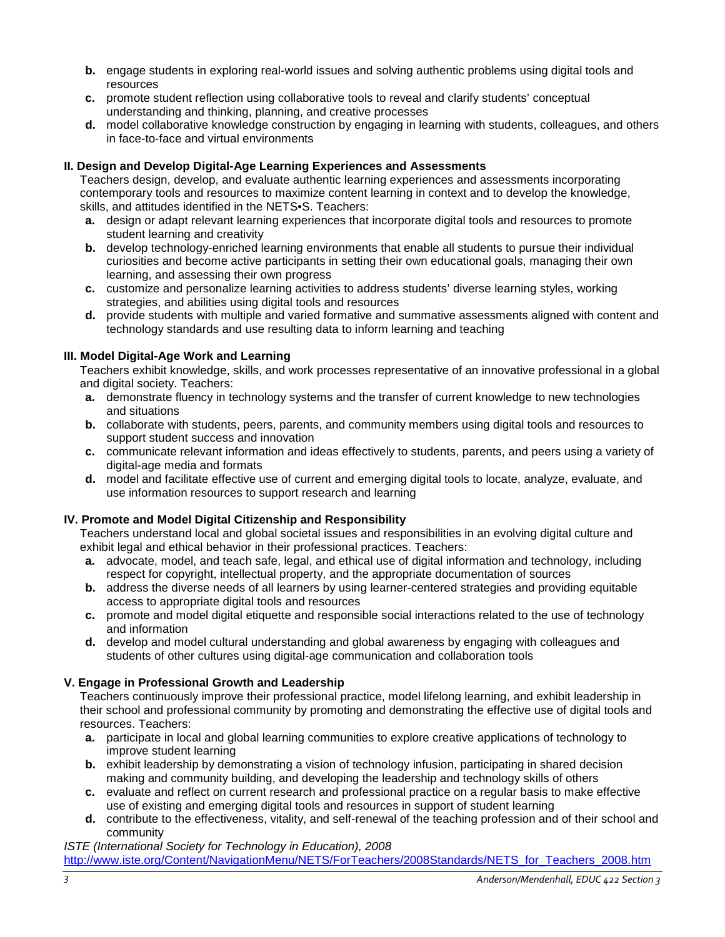- **b.** engage students in exploring real-world issues and solving authentic problems using digital tools and resources
- **c.** promote student reflection using collaborative tools to reveal and clarify students' conceptual understanding and thinking, planning, and creative processes
- **d.** model collaborative knowledge construction by engaging in learning with students, colleagues, and others in face-to-face and virtual environments

## **II. Design and Develop Digital-Age Learning Experiences and Assessments**

Teachers design, develop, and evaluate authentic learning experiences and assessments incorporating contemporary tools and resources to maximize content learning in context and to develop the knowledge, skills, and attitudes identified in the NETS•S. Teachers:

- **a.** design or adapt relevant learning experiences that incorporate digital tools and resources to promote student learning and creativity
- **b.** develop technology-enriched learning environments that enable all students to pursue their individual curiosities and become active participants in setting their own educational goals, managing their own learning, and assessing their own progress
- **c.** customize and personalize learning activities to address students' diverse learning styles, working strategies, and abilities using digital tools and resources
- **d.** provide students with multiple and varied formative and summative assessments aligned with content and technology standards and use resulting data to inform learning and teaching

## **III. Model Digital-Age Work and Learning**

Teachers exhibit knowledge, skills, and work processes representative of an innovative professional in a global and digital society. Teachers:

- **a.** demonstrate fluency in technology systems and the transfer of current knowledge to new technologies and situations
- **b.** collaborate with students, peers, parents, and community members using digital tools and resources to support student success and innovation
- **c.** communicate relevant information and ideas effectively to students, parents, and peers using a variety of digital-age media and formats
- **d.** model and facilitate effective use of current and emerging digital tools to locate, analyze, evaluate, and use information resources to support research and learning

## **IV. Promote and Model Digital Citizenship and Responsibility**

Teachers understand local and global societal issues and responsibilities in an evolving digital culture and exhibit legal and ethical behavior in their professional practices. Teachers:

- **a.** advocate, model, and teach safe, legal, and ethical use of digital information and technology, including respect for copyright, intellectual property, and the appropriate documentation of sources
- **b.** address the diverse needs of all learners by using learner-centered strategies and providing equitable access to appropriate digital tools and resources
- **c.** promote and model digital etiquette and responsible social interactions related to the use of technology and information
- **d.** develop and model cultural understanding and global awareness by engaging with colleagues and students of other cultures using digital-age communication and collaboration tools

## **V. Engage in Professional Growth and Leadership**

Teachers continuously improve their professional practice, model lifelong learning, and exhibit leadership in their school and professional community by promoting and demonstrating the effective use of digital tools and resources. Teachers:

- **a.** participate in local and global learning communities to explore creative applications of technology to improve student learning
- **b.** exhibit leadership by demonstrating a vision of technology infusion, participating in shared decision making and community building, and developing the leadership and technology skills of others
- **c.** evaluate and reflect on current research and professional practice on a regular basis to make effective use of existing and emerging digital tools and resources in support of student learning
- **d.** contribute to the effectiveness, vitality, and self-renewal of the teaching profession and of their school and community

# *ISTE (International Society for Technology in Education), 2008*

[http://www.iste.org/Content/NavigationMenu/NETS/ForTeachers/2008Standards/NETS\\_for\\_Teachers\\_2008.htm](http://www.iste.org/Content/NavigationMenu/NETS/ForTeachers/2008Standards/NETS_for_Teachers_2008.htm)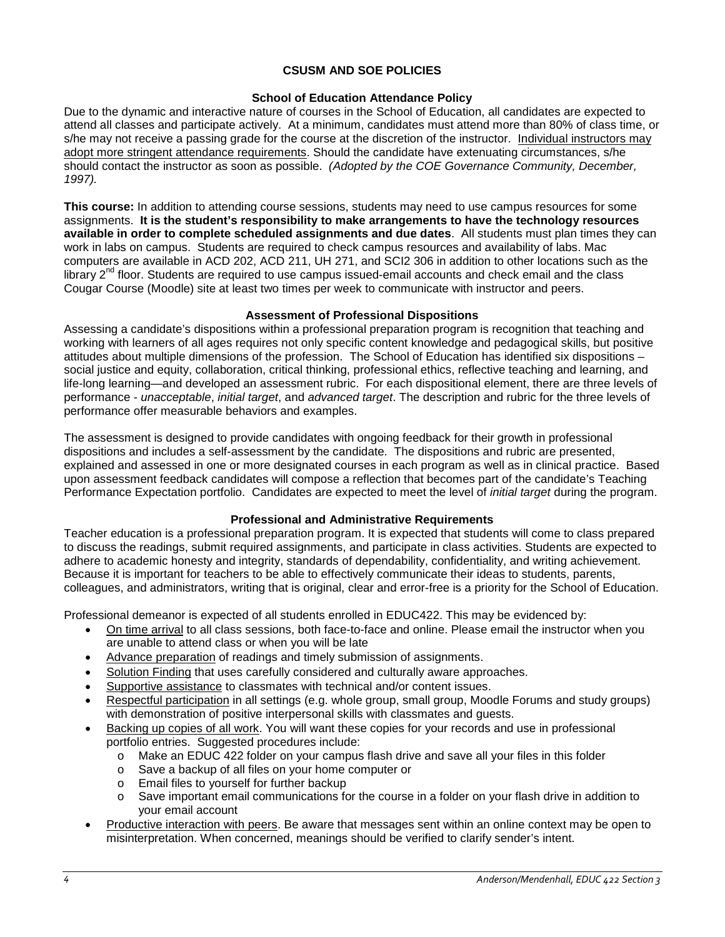## **CSUSM AND SOE POLICIES**

#### **School of Education Attendance Policy**

Due to the dynamic and interactive nature of courses in the School of Education, all candidates are expected to attend all classes and participate actively. At a minimum, candidates must attend more than 80% of class time, or s/he may not receive a passing grade for the course at the discretion of the instructor. Individual instructors may adopt more stringent attendance requirements. Should the candidate have extenuating circumstances, s/he should contact the instructor as soon as possible. *(Adopted by the COE Governance Community, December, 1997).*

**This course:** In addition to attending course sessions, students may need to use campus resources for some assignments. **It is the student's responsibility to make arrangements to have the technology resources available in order to complete scheduled assignments and due dates**. All students must plan times they can work in labs on campus. Students are required to check campus resources and availability of labs. Mac computers are available in ACD 202, ACD 211, UH 271, and SCI2 306 in addition to other locations such as the library  $2^{nd}$  floor. Students are required to use campus issued-email accounts and check email and the class Cougar Course (Moodle) site at least two times per week to communicate with instructor and peers.

#### **Assessment of Professional Dispositions**

Assessing a candidate's dispositions within a professional preparation program is recognition that teaching and working with learners of all ages requires not only specific content knowledge and pedagogical skills, but positive attitudes about multiple dimensions of the profession. The School of Education has identified six dispositions – social justice and equity, collaboration, critical thinking, professional ethics, reflective teaching and learning, and life-long learning—and developed an assessment rubric. For each dispositional element, there are three levels of performance - *unacceptable*, *initial target*, and *advanced target*. The description and rubric for the three levels of performance offer measurable behaviors and examples.

The assessment is designed to provide candidates with ongoing feedback for their growth in professional dispositions and includes a self-assessment by the candidate. The dispositions and rubric are presented, explained and assessed in one or more designated courses in each program as well as in clinical practice. Based upon assessment feedback candidates will compose a reflection that becomes part of the candidate's Teaching Performance Expectation portfolio. Candidates are expected to meet the level of *initial target* during the program.

## **Professional and Administrative Requirements**

Teacher education is a professional preparation program. It is expected that students will come to class prepared to discuss the readings, submit required assignments, and participate in class activities. Students are expected to adhere to academic honesty and integrity, standards of dependability, confidentiality, and writing achievement. Because it is important for teachers to be able to effectively communicate their ideas to students, parents, colleagues, and administrators, writing that is original, clear and error-free is a priority for the School of Education.

Professional demeanor is expected of all students enrolled in EDUC422. This may be evidenced by:

- On time arrival to all class sessions, both face-to-face and online. Please email the instructor when you are unable to attend class or when you will be late
- Advance preparation of readings and timely submission of assignments.
- Solution Finding that uses carefully considered and culturally aware approaches.
- Supportive assistance to classmates with technical and/or content issues.
- Respectful participation in all settings (e.g. whole group, small group, Moodle Forums and study groups) with demonstration of positive interpersonal skills with classmates and guests.
- Backing up copies of all work. You will want these copies for your records and use in professional portfolio entries. Suggested procedures include:
	- o Make an EDUC 422 folder on your campus flash drive and save all your files in this folder
	- o Save a backup of all files on your home computer or
	- $\circ$  Email files to yourself for further backup<br> $\circ$  Save important email communications fo
	- Save important email communications for the course in a folder on your flash drive in addition to your email account
- Productive interaction with peers. Be aware that messages sent within an online context may be open to misinterpretation. When concerned, meanings should be verified to clarify sender's intent.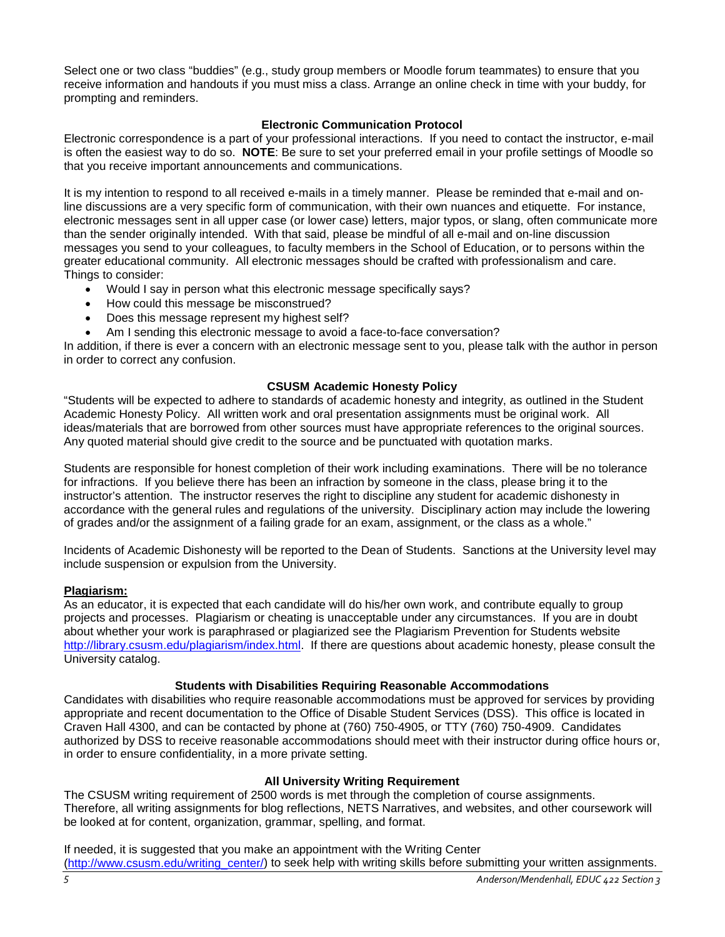Select one or two class "buddies" (e.g., study group members or Moodle forum teammates) to ensure that you receive information and handouts if you must miss a class. Arrange an online check in time with your buddy, for prompting and reminders.

## **Electronic Communication Protocol**

Electronic correspondence is a part of your professional interactions. If you need to contact the instructor, e-mail is often the easiest way to do so. **NOTE**: Be sure to set your preferred email in your profile settings of Moodle so that you receive important announcements and communications.

It is my intention to respond to all received e-mails in a timely manner. Please be reminded that e-mail and online discussions are a very specific form of communication, with their own nuances and etiquette. For instance, electronic messages sent in all upper case (or lower case) letters, major typos, or slang, often communicate more than the sender originally intended. With that said, please be mindful of all e-mail and on-line discussion messages you send to your colleagues, to faculty members in the School of Education, or to persons within the greater educational community. All electronic messages should be crafted with professionalism and care. Things to consider:

- Would I say in person what this electronic message specifically says?
- How could this message be misconstrued?
- Does this message represent my highest self?
- Am I sending this electronic message to avoid a face-to-face conversation?

In addition, if there is ever a concern with an electronic message sent to you, please talk with the author in person in order to correct any confusion.

## **CSUSM Academic Honesty Policy**

"Students will be expected to adhere to standards of academic honesty and integrity, as outlined in the Student Academic Honesty Policy. All written work and oral presentation assignments must be original work. All ideas/materials that are borrowed from other sources must have appropriate references to the original sources. Any quoted material should give credit to the source and be punctuated with quotation marks.

Students are responsible for honest completion of their work including examinations. There will be no tolerance for infractions. If you believe there has been an infraction by someone in the class, please bring it to the instructor's attention. The instructor reserves the right to discipline any student for academic dishonesty in accordance with the general rules and regulations of the university. Disciplinary action may include the lowering of grades and/or the assignment of a failing grade for an exam, assignment, or the class as a whole."

Incidents of Academic Dishonesty will be reported to the Dean of Students. Sanctions at the University level may include suspension or expulsion from the University.

## **Plagiarism:**

As an educator, it is expected that each candidate will do his/her own work, and contribute equally to group projects and processes. Plagiarism or cheating is unacceptable under any circumstances. If you are in doubt about whether your work is paraphrased or plagiarized see the Plagiarism Prevention for Students website [http://library.csusm.edu/plagiarism/index.html.](http://library.csusm.edu/plagiarism/index.html) If there are questions about academic honesty, please consult the University catalog.

## **Students with Disabilities Requiring Reasonable Accommodations**

Candidates with disabilities who require reasonable accommodations must be approved for services by providing appropriate and recent documentation to the Office of Disable Student Services (DSS). This office is located in Craven Hall 4300, and can be contacted by phone at (760) 750-4905, or TTY (760) 750-4909. Candidates authorized by DSS to receive reasonable accommodations should meet with their instructor during office hours or, in order to ensure confidentiality, in a more private setting.

## **All University Writing Requirement**

The CSUSM writing requirement of 2500 words is met through the completion of course assignments. Therefore, all writing assignments for blog reflections, NETS Narratives, and websites, and other coursework will be looked at for content, organization, grammar, spelling, and format.

If needed, it is suggested that you make an appointment with the Writing Center [\(http://www.csusm.edu/writing\\_center/\)](http://www.csusm.edu/writing_center/) to seek help with writing skills before submitting your written assignments.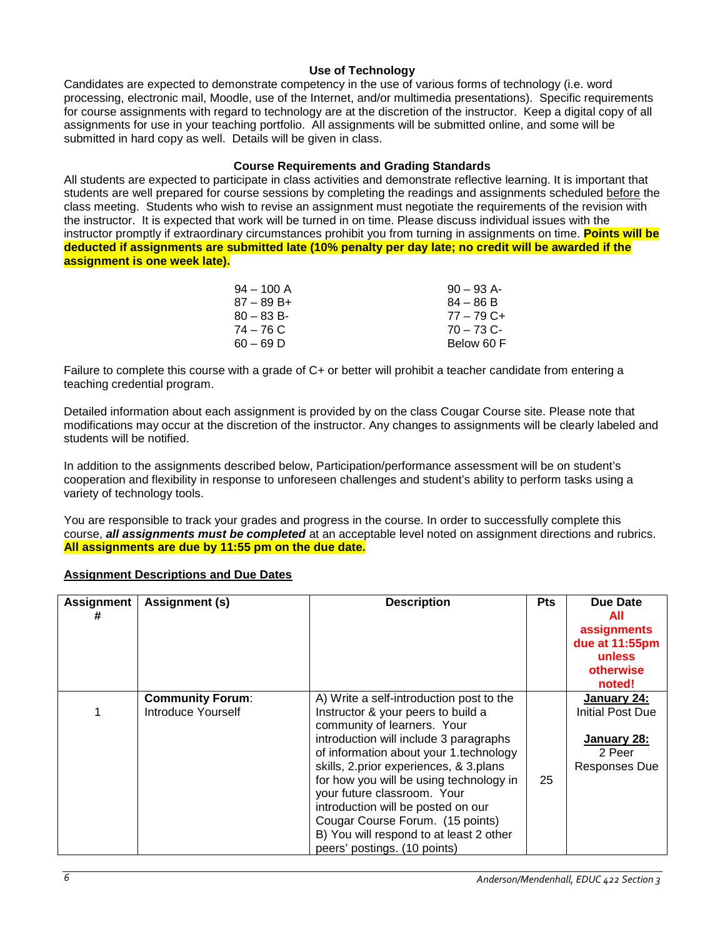## **Use of Technology**

Candidates are expected to demonstrate competency in the use of various forms of technology (i.e. word processing, electronic mail, Moodle, use of the Internet, and/or multimedia presentations). Specific requirements for course assignments with regard to technology are at the discretion of the instructor. Keep a digital copy of all assignments for use in your teaching portfolio. All assignments will be submitted online, and some will be submitted in hard copy as well. Details will be given in class.

#### **Course Requirements and Grading Standards**

All students are expected to participate in class activities and demonstrate reflective learning. It is important that students are well prepared for course sessions by completing the readings and assignments scheduled before the class meeting. Students who wish to revise an assignment must negotiate the requirements of the revision with the instructor. It is expected that work will be turned in on time. Please discuss individual issues with the instructor promptly if extraordinary circumstances prohibit you from turning in assignments on time. **Points will be deducted if assignments are submitted late (10% penalty per day late; no credit will be awarded if the assignment is one week late).**

| $90 - 93$ A- |
|--------------|
| $84 - 86 B$  |
| $77 - 79$ C+ |
| $70 - 73$ C- |
| Below 60 F   |
|              |

Failure to complete this course with a grade of C+ or better will prohibit a teacher candidate from entering a teaching credential program.

Detailed information about each assignment is provided by on the class Cougar Course site. Please note that modifications may occur at the discretion of the instructor. Any changes to assignments will be clearly labeled and students will be notified.

In addition to the assignments described below, Participation/performance assessment will be on student's cooperation and flexibility in response to unforeseen challenges and student's ability to perform tasks using a variety of technology tools.

You are responsible to track your grades and progress in the course. In order to successfully complete this course, *all assignments must be completed* at an acceptable level noted on assignment directions and rubrics. **All assignments are due by 11:55 pm on the due date.**

## **Assignment Descriptions and Due Dates**

| <b>Assignment</b> | Assignment (s)                                | <b>Description</b>                                                                                                                                                                                                                                                                                                                                                                                                                                                         | <b>Pts</b> | <b>Due Date</b><br>All<br>assignments<br>due at 11:55pm<br>unless<br>otherwise<br>noted! |
|-------------------|-----------------------------------------------|----------------------------------------------------------------------------------------------------------------------------------------------------------------------------------------------------------------------------------------------------------------------------------------------------------------------------------------------------------------------------------------------------------------------------------------------------------------------------|------------|------------------------------------------------------------------------------------------|
|                   | <b>Community Forum:</b><br>Introduce Yourself | A) Write a self-introduction post to the<br>Instructor & your peers to build a<br>community of learners. Your<br>introduction will include 3 paragraphs<br>of information about your 1.technology<br>skills, 2.prior experiences, & 3.plans<br>for how you will be using technology in<br>your future classroom. Your<br>introduction will be posted on our<br>Cougar Course Forum. (15 points)<br>B) You will respond to at least 2 other<br>peers' postings. (10 points) | 25         | January 24:<br>Initial Post Due<br>January 28:<br>2 Peer<br><b>Responses Due</b>         |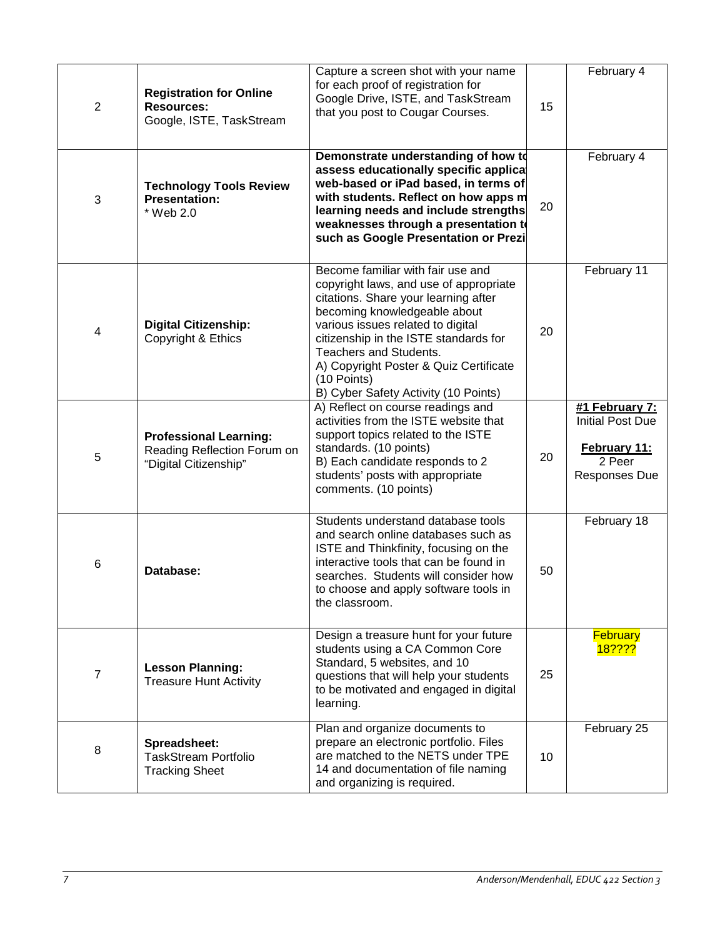| 2              | <b>Registration for Online</b><br><b>Resources:</b><br>Google, ISTE, TaskStream       | Capture a screen shot with your name<br>for each proof of registration for<br>Google Drive, ISTE, and TaskStream<br>that you post to Cougar Courses.                                                                                                                                                                                                         | 15 | February 4                                                                                  |
|----------------|---------------------------------------------------------------------------------------|--------------------------------------------------------------------------------------------------------------------------------------------------------------------------------------------------------------------------------------------------------------------------------------------------------------------------------------------------------------|----|---------------------------------------------------------------------------------------------|
| 3              | <b>Technology Tools Review</b><br><b>Presentation:</b><br>* Web 2.0                   | Demonstrate understanding of how to<br>assess educationally specific applicat<br>web-based or iPad based, in terms of<br>with students. Reflect on how apps m<br>learning needs and include strengths<br>weaknesses through a presentation to<br>such as Google Presentation or Prezi.                                                                       | 20 | February 4                                                                                  |
| 4              | <b>Digital Citizenship:</b><br>Copyright & Ethics                                     | Become familiar with fair use and<br>copyright laws, and use of appropriate<br>citations. Share your learning after<br>becoming knowledgeable about<br>various issues related to digital<br>citizenship in the ISTE standards for<br>Teachers and Students.<br>A) Copyright Poster & Quiz Certificate<br>(10 Points)<br>B) Cyber Safety Activity (10 Points) | 20 | February 11                                                                                 |
| 5              | <b>Professional Learning:</b><br>Reading Reflection Forum on<br>"Digital Citizenship" | A) Reflect on course readings and<br>activities from the ISTE website that<br>support topics related to the ISTE<br>standards. (10 points)<br>B) Each candidate responds to 2<br>students' posts with appropriate<br>comments. (10 points)                                                                                                                   | 20 | #1 February 7:<br><b>Initial Post Due</b><br><b>February 11:</b><br>2 Peer<br>Responses Due |
| 6              | Database:                                                                             | Students understand database tools<br>and search online databases such as<br>ISTE and Thinkfinity, focusing on the<br>interactive tools that can be found in<br>searches. Students will consider how<br>to choose and apply software tools in<br>the classroom.                                                                                              | 50 | February 18                                                                                 |
| $\overline{7}$ | <b>Lesson Planning:</b><br><b>Treasure Hunt Activity</b>                              | Design a treasure hunt for your future<br>students using a CA Common Core<br>Standard, 5 websites, and 10<br>questions that will help your students<br>to be motivated and engaged in digital<br>learning.                                                                                                                                                   | 25 | <b>February</b><br><mark>18????</mark>                                                      |
| 8              | Spreadsheet:<br><b>TaskStream Portfolio</b><br><b>Tracking Sheet</b>                  | Plan and organize documents to<br>prepare an electronic portfolio. Files<br>are matched to the NETS under TPE<br>14 and documentation of file naming<br>and organizing is required.                                                                                                                                                                          | 10 | February 25                                                                                 |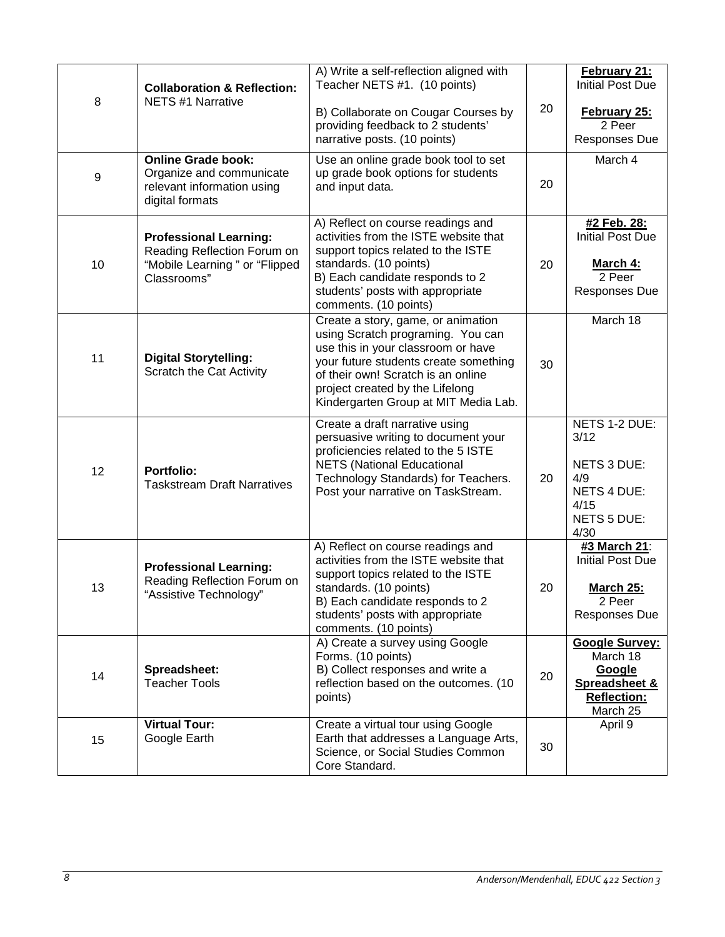| 8  | <b>Collaboration &amp; Reflection:</b><br><b>NETS #1 Narrative</b>                                           | A) Write a self-reflection aligned with<br>Teacher NETS #1. (10 points)                                                                                                                                                                                                 |    | February 21:<br><b>Initial Post Due</b>                                                          |
|----|--------------------------------------------------------------------------------------------------------------|-------------------------------------------------------------------------------------------------------------------------------------------------------------------------------------------------------------------------------------------------------------------------|----|--------------------------------------------------------------------------------------------------|
|    |                                                                                                              | B) Collaborate on Cougar Courses by<br>providing feedback to 2 students'<br>narrative posts. (10 points)                                                                                                                                                                | 20 | <b>February 25:</b><br>2 Peer<br>Responses Due                                                   |
| 9  | <b>Online Grade book:</b><br>Organize and communicate<br>relevant information using<br>digital formats       | Use an online grade book tool to set<br>up grade book options for students<br>and input data.                                                                                                                                                                           |    | March 4                                                                                          |
| 10 | <b>Professional Learning:</b><br>Reading Reflection Forum on<br>"Mobile Learning" or "Flipped<br>Classrooms" | A) Reflect on course readings and<br>activities from the ISTE website that<br>support topics related to the ISTE<br>standards. (10 points)<br>B) Each candidate responds to 2<br>students' posts with appropriate<br>comments. (10 points)                              | 20 | #2 Feb. 28:<br><b>Initial Post Due</b><br>March 4:<br>2 Peer<br>Responses Due                    |
| 11 | <b>Digital Storytelling:</b><br><b>Scratch the Cat Activity</b>                                              | Create a story, game, or animation<br>using Scratch programing. You can<br>use this in your classroom or have<br>your future students create something<br>of their own! Scratch is an online<br>project created by the Lifelong<br>Kindergarten Group at MIT Media Lab. |    | March 18                                                                                         |
| 12 | <b>Portfolio:</b><br><b>Taskstream Draft Narratives</b>                                                      | Create a draft narrative using<br>persuasive writing to document your<br>proficiencies related to the 5 ISTE<br><b>NETS (National Educational</b><br>Technology Standards) for Teachers.<br>Post your narrative on TaskStream.                                          | 20 | NETS 1-2 DUE:<br>3/12<br>NETS 3 DUE:<br>4/9<br><b>NETS 4 DUE:</b><br>4/15<br>NETS 5 DUE:<br>4/30 |
| 13 | <b>Professional Learning:</b><br>Reading Reflection Forum on<br>"Assistive Technology"                       | A) Reflect on course readings and<br>activities from the ISTE website that<br>support topics related to the ISTE<br>standards. (10 points)<br>B) Each candidate responds to 2<br>students' posts with appropriate<br>comments. (10 points)                              | 20 | #3 March 21:<br><b>Initial Post Due</b><br>March 25:<br>2 Peer<br>Responses Due                  |
| 14 | Spreadsheet:<br><b>Teacher Tools</b>                                                                         | A) Create a survey using Google<br>Forms. (10 points)<br>B) Collect responses and write a<br>reflection based on the outcomes. (10<br>points)                                                                                                                           | 20 | <b>Google Survey:</b><br>March 18<br>Google<br>Spreadsheet &<br><b>Reflection:</b><br>March 25   |
| 15 | <b>Virtual Tour:</b><br>Google Earth                                                                         | Create a virtual tour using Google<br>Earth that addresses a Language Arts,<br>Science, or Social Studies Common<br>Core Standard.                                                                                                                                      | 30 | April 9                                                                                          |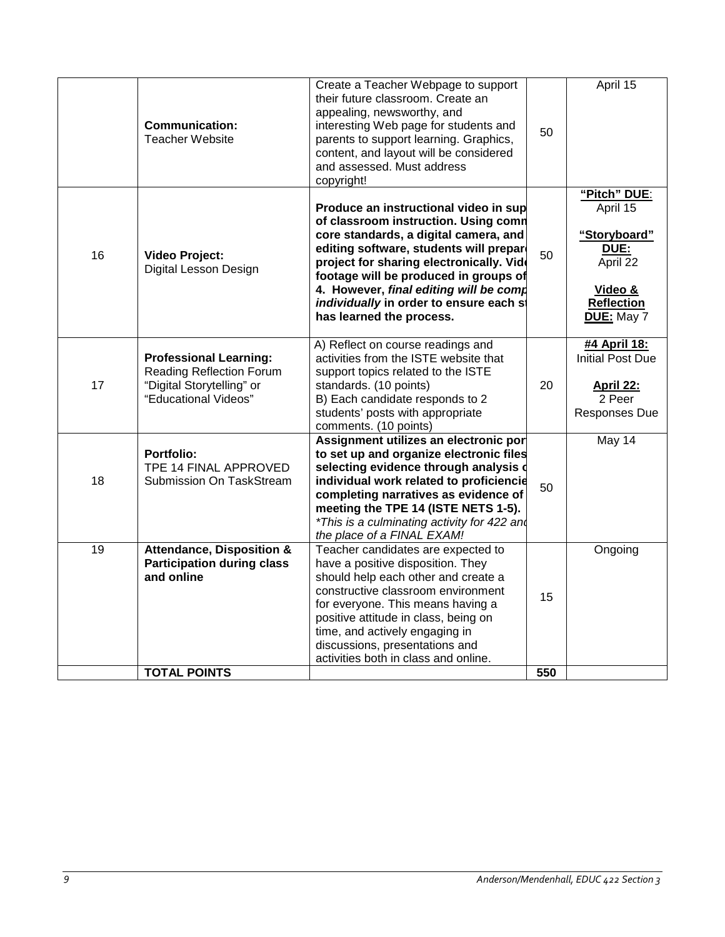|    | <b>Communication:</b><br><b>Teacher Website</b>                                                                | Create a Teacher Webpage to support<br>their future classroom. Create an<br>appealing, newsworthy, and<br>interesting Web page for students and<br>parents to support learning. Graphics,<br>content, and layout will be considered<br>and assessed. Must address<br>copyright!                                                                                         | 50  | April 15                                                                                                   |
|----|----------------------------------------------------------------------------------------------------------------|-------------------------------------------------------------------------------------------------------------------------------------------------------------------------------------------------------------------------------------------------------------------------------------------------------------------------------------------------------------------------|-----|------------------------------------------------------------------------------------------------------------|
| 16 | <b>Video Project:</b><br>Digital Lesson Design                                                                 | Produce an instructional video in sup<br>of classroom instruction. Using comn<br>core standards, a digital camera, and<br>editing software, students will prepare<br>project for sharing electronically. Vide<br>footage will be produced in groups of<br>4. However, final editing will be comp<br>individually in order to ensure each st<br>has learned the process. | 50  | "Pitch" DUE:<br>April 15<br>"Storyboard"<br>DUE:<br>April 22<br>Video &<br><b>Reflection</b><br>DUE: May 7 |
| 17 | <b>Professional Learning:</b><br>Reading Reflection Forum<br>"Digital Storytelling" or<br>"Educational Videos" | A) Reflect on course readings and<br>activities from the ISTE website that<br>support topics related to the ISTE<br>standards. (10 points)<br>B) Each candidate responds to 2<br>students' posts with appropriate<br>comments. (10 points)                                                                                                                              | 20  | #4 April 18:<br><b>Initial Post Due</b><br><b>April 22:</b><br>2 Peer<br>Responses Due                     |
| 18 | <b>Portfolio:</b><br>TPE 14 FINAL APPROVED<br>Submission On TaskStream                                         | Assignment utilizes an electronic por<br>to set up and organize electronic files<br>selecting evidence through analysis o<br>individual work related to proficiencie<br>completing narratives as evidence of<br>meeting the TPE 14 (ISTE NETS 1-5).<br>*This is a culminating activity for 422 and<br>the place of a FINAL EXAM!                                        | 50  | May 14                                                                                                     |
| 19 | <b>Attendance, Disposition &amp;</b><br><b>Participation during class</b><br>and online                        | Teacher candidates are expected to<br>have a positive disposition. They<br>should help each other and create a<br>constructive classroom environment<br>for everyone. This means having a<br>positive attitude in class, being on<br>time, and actively engaging in<br>discussions, presentations and<br>activities both in class and online.                           | 15  | Ongoing                                                                                                    |
|    | <b>TOTAL POINTS</b>                                                                                            |                                                                                                                                                                                                                                                                                                                                                                         | 550 |                                                                                                            |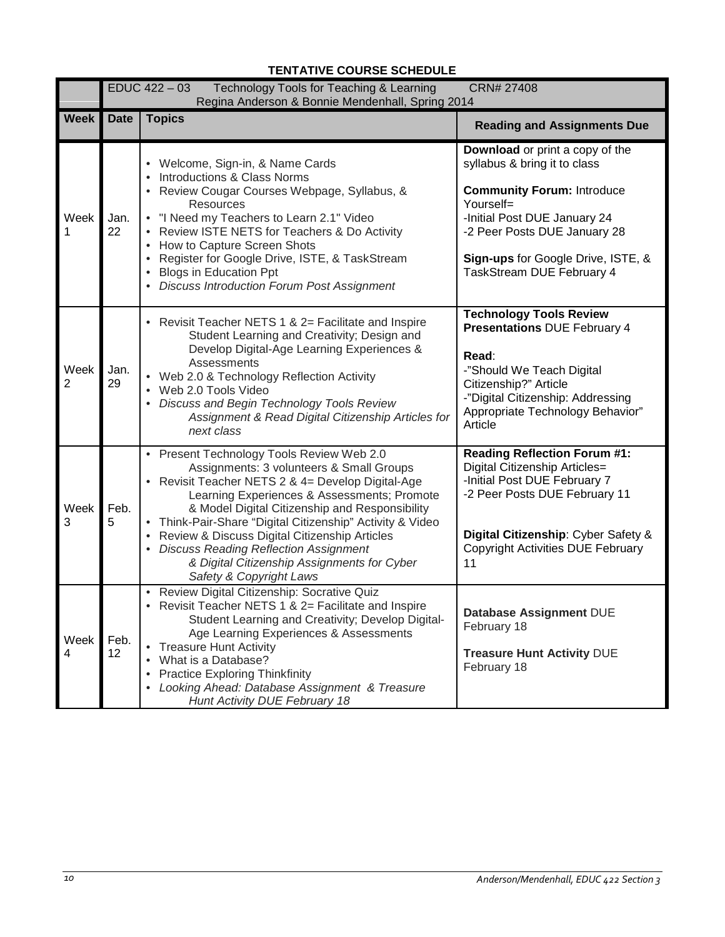|             | CRN# 27408<br>EDUC 422 - 03<br>Technology Tools for Teaching & Learning<br>Regina Anderson & Bonnie Mendenhall, Spring 2014 |                                                                                                                                                                                                                                                                                                                                                                                                                                                                                |                                                                                                                                                                                                                                                      |  |
|-------------|-----------------------------------------------------------------------------------------------------------------------------|--------------------------------------------------------------------------------------------------------------------------------------------------------------------------------------------------------------------------------------------------------------------------------------------------------------------------------------------------------------------------------------------------------------------------------------------------------------------------------|------------------------------------------------------------------------------------------------------------------------------------------------------------------------------------------------------------------------------------------------------|--|
| <b>Week</b> | <b>Date</b>                                                                                                                 | <b>Topics</b>                                                                                                                                                                                                                                                                                                                                                                                                                                                                  | <b>Reading and Assignments Due</b>                                                                                                                                                                                                                   |  |
| Week<br>1   | Jan.<br>22                                                                                                                  | • Welcome, Sign-in, & Name Cards<br>Introductions & Class Norms<br>• Review Cougar Courses Webpage, Syllabus, &<br><b>Resources</b><br>• "I Need my Teachers to Learn 2.1" Video<br>Review ISTE NETS for Teachers & Do Activity<br>$\bullet$<br>How to Capture Screen Shots<br>$\bullet$<br>Register for Google Drive, ISTE, & TaskStream<br>• Blogs in Education Ppt<br>• Discuss Introduction Forum Post Assignment                                                          | Download or print a copy of the<br>syllabus & bring it to class<br><b>Community Forum: Introduce</b><br>Yourself=<br>-Initial Post DUE January 24<br>-2 Peer Posts DUE January 28<br>Sign-ups for Google Drive, ISTE, &<br>TaskStream DUE February 4 |  |
| Week<br>2   | Jan.<br>29                                                                                                                  | • Revisit Teacher NETS 1 & 2= Facilitate and Inspire<br>Student Learning and Creativity; Design and<br>Develop Digital-Age Learning Experiences &<br>Assessments<br>• Web 2.0 & Technology Reflection Activity<br>• Web 2.0 Tools Video<br>• Discuss and Begin Technology Tools Review<br>Assignment & Read Digital Citizenship Articles for<br>next class                                                                                                                     | <b>Technology Tools Review</b><br><b>Presentations DUE February 4</b><br>Read:<br>-"Should We Teach Digital<br>Citizenship?" Article<br>-"Digital Citizenship: Addressing<br>Appropriate Technology Behavior"<br>Article                             |  |
| Week<br>3   | Feb.<br>5                                                                                                                   | • Present Technology Tools Review Web 2.0<br>Assignments: 3 volunteers & Small Groups<br>• Revisit Teacher NETS 2 & 4= Develop Digital-Age<br>Learning Experiences & Assessments; Promote<br>& Model Digital Citizenship and Responsibility<br>• Think-Pair-Share "Digital Citizenship" Activity & Video<br>Review & Discuss Digital Citizenship Articles<br>• Discuss Reading Reflection Assignment<br>& Digital Citizenship Assignments for Cyber<br>Safety & Copyright Laws | <b>Reading Reflection Forum #1:</b><br>Digital Citizenship Articles=<br>-Initial Post DUE February 7<br>-2 Peer Posts DUE February 11<br>Digital Citizenship: Cyber Safety &<br><b>Copyright Activities DUE February</b><br>11                       |  |
| Week<br>4   | Feb.<br>12                                                                                                                  | • Review Digital Citizenship: Socrative Quiz<br>Revisit Teacher NETS 1 & 2= Facilitate and Inspire<br>$\bullet$<br>Student Learning and Creativity; Develop Digital-<br>Age Learning Experiences & Assessments<br><b>Treasure Hunt Activity</b><br>What is a Database?<br><b>Practice Exploring Thinkfinity</b><br>Looking Ahead: Database Assignment & Treasure<br>Hunt Activity DUE February 18                                                                              | Database Assignment DUE<br>February 18<br>Treasure Hunt Activity DUE<br>February 18                                                                                                                                                                  |  |

## **TENTATIVE COURSE SCHEDULE**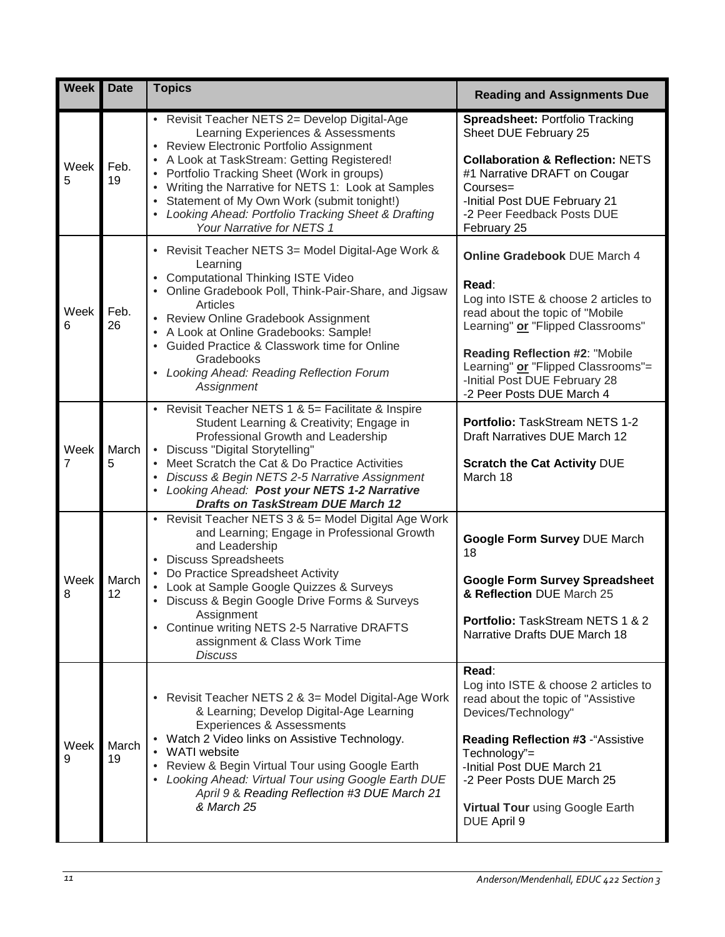| <b>Week</b> | <b>Date</b> | <b>Topics</b>                                                                                                                                                                                                                                                                                                                                                                                                             | <b>Reading and Assignments Due</b>                                                                                                                                                                                                                                                                 |
|-------------|-------------|---------------------------------------------------------------------------------------------------------------------------------------------------------------------------------------------------------------------------------------------------------------------------------------------------------------------------------------------------------------------------------------------------------------------------|----------------------------------------------------------------------------------------------------------------------------------------------------------------------------------------------------------------------------------------------------------------------------------------------------|
| Week<br>5   | Feb.<br>19  | • Revisit Teacher NETS 2= Develop Digital-Age<br>Learning Experiences & Assessments<br>• Review Electronic Portfolio Assignment<br>• A Look at TaskStream: Getting Registered!<br>• Portfolio Tracking Sheet (Work in groups)<br>• Writing the Narrative for NETS 1: Look at Samples<br>• Statement of My Own Work (submit tonight!)<br>• Looking Ahead: Portfolio Tracking Sheet & Drafting<br>Your Narrative for NETS 1 | Spreadsheet: Portfolio Tracking<br>Sheet DUE February 25<br><b>Collaboration &amp; Reflection: NETS</b><br>#1 Narrative DRAFT on Cougar<br>Courses=<br>-Initial Post DUE February 21<br>-2 Peer Feedback Posts DUE<br>February 25                                                                  |
| Week<br>6   | Feb.<br>26  | • Revisit Teacher NETS 3= Model Digital-Age Work &<br>Learning<br>• Computational Thinking ISTE Video<br>• Online Gradebook Poll, Think-Pair-Share, and Jigsaw<br>Articles<br>• Review Online Gradebook Assignment<br>• A Look at Online Gradebooks: Sample!<br>• Guided Practice & Classwork time for Online<br>Gradebooks<br>• Looking Ahead: Reading Reflection Forum<br>Assignment                                    | Online Gradebook DUE March 4<br>Read:<br>Log into ISTE & choose 2 articles to<br>read about the topic of "Mobile<br>Learning" or "Flipped Classrooms"<br><b>Reading Reflection #2: "Mobile</b><br>Learning" or "Flipped Classrooms"=<br>-Initial Post DUE February 28<br>-2 Peer Posts DUE March 4 |
| Week<br>7   | March<br>5  | • Revisit Teacher NETS 1 & 5= Facilitate & Inspire<br>Student Learning & Creativity; Engage in<br>Professional Growth and Leadership<br>• Discuss "Digital Storytelling"<br>• Meet Scratch the Cat & Do Practice Activities<br>Discuss & Begin NETS 2-5 Narrative Assignment<br>Looking Ahead: Post your NETS 1-2 Narrative<br><b>Drafts on TaskStream DUE March 12</b>                                                   | Portfolio: TaskStream NETS 1-2<br>Draft Narratives DUE March 12<br><b>Scratch the Cat Activity DUE</b><br>March 18                                                                                                                                                                                 |
| Week<br>8   | March<br>12 | • Revisit Teacher NETS 3 & 5= Model Digital Age Work<br>and Learning; Engage in Professional Growth<br>and Leadership<br>• Discuss Spreadsheets<br>• Do Practice Spreadsheet Activity<br>• Look at Sample Google Quizzes & Surveys<br>Discuss & Begin Google Drive Forms & Surveys<br>$\bullet$<br>Assignment<br>• Continue writing NETS 2-5 Narrative DRAFTS<br>assignment & Class Work Time<br><b>Discuss</b>           | <b>Google Form Survey DUE March</b><br>18<br><b>Google Form Survey Spreadsheet</b><br>& Reflection DUE March 25<br>Portfolio: TaskStream NETS 1 & 2<br>Narrative Drafts DUE March 18                                                                                                               |
| Week<br>9   | March<br>19 | Revisit Teacher NETS 2 & 3= Model Digital-Age Work<br>& Learning; Develop Digital-Age Learning<br>Experiences & Assessments<br>• Watch 2 Video links on Assistive Technology.<br>• WATI website<br>Review & Begin Virtual Tour using Google Earth<br>Looking Ahead: Virtual Tour using Google Earth DUE<br>April 9 & Reading Reflection #3 DUE March 21<br>& March 25                                                     | Read:<br>Log into ISTE & choose 2 articles to<br>read about the topic of "Assistive<br>Devices/Technology"<br>Reading Reflection #3 - "Assistive<br>Technology"=<br>-Initial Post DUE March 21<br>-2 Peer Posts DUE March 25<br>Virtual Tour using Google Earth<br>DUE April 9                     |